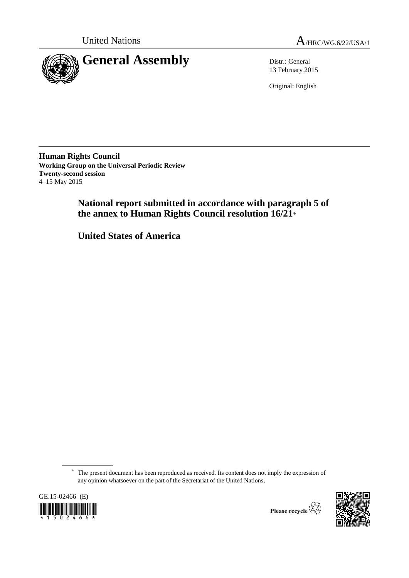



13 February 2015

Original: English

**Human Rights Council Working Group on the Universal Periodic Review Twenty-second session** 4–15 May 2015

> **National report submitted in accordance with paragraph 5 of the annex to Human Rights Council resolution 16/21**\*

**United States of America**

<sup>\*</sup> The present document has been reproduced as received. Its content does not imply the expression of any opinion whatsoever on the part of the Secretariat of the United Nations.



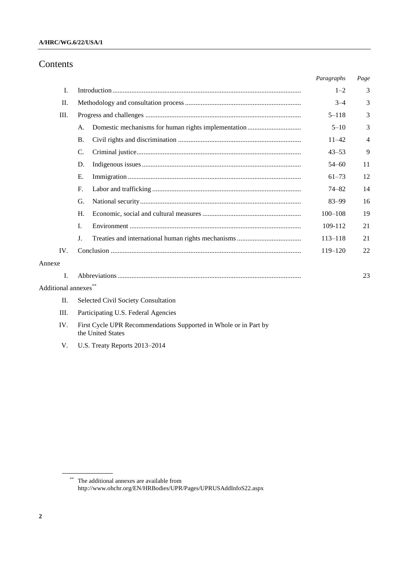## **A/HRC/WG.6/22/USA/1**

## Contents

|                                 |                                            | Paragraphs  | Page |
|---------------------------------|--------------------------------------------|-------------|------|
| I.                              |                                            | $1 - 2$     | 3    |
| П.                              |                                            | $3 - 4$     | 3    |
| Ш.                              |                                            | $5 - 118$   | 3    |
|                                 | A.                                         | $5 - 10$    | 3    |
|                                 | <b>B.</b>                                  | $11 - 42$   | 4    |
|                                 | $\mathbf{C}$ .                             | $43 - 53$   | 9    |
|                                 | D.                                         | $54 - 60$   | 11   |
|                                 | E.                                         | $61 - 73$   | 12   |
|                                 | F.                                         | $74 - 82$   | 14   |
|                                 | G.                                         | $83 - 99$   | 16   |
|                                 | H.                                         | $100 - 108$ | 19   |
|                                 | I.                                         | 109-112     | 21   |
|                                 | J.                                         | $113 - 118$ | 21   |
| IV.                             |                                            | $119 - 120$ | 22   |
| Annexe                          |                                            |             |      |
| Ι.                              |                                            |             | 23   |
| Additional annexes <sup>®</sup> |                                            |             |      |
| II.                             | <b>Selected Civil Society Consultation</b> |             |      |
| Ш.                              | Participating U.S. Federal Agencies        |             |      |

- IV. First Cycle UPR Recommendations Supported in Whole or in Part by the United States
- V. U.S. Treaty Reports 2013–2014

<sup>\*\*</sup> The additional annexes are available from http://www.ohchr.org/EN/HRBodies/UPR/Pages/UPRUSAddInfoS22.aspx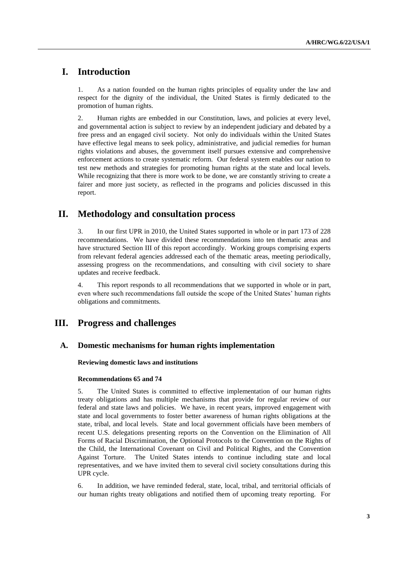## **I. Introduction**

1. As a nation founded on the human rights principles of equality under the law and respect for the dignity of the individual, the United States is firmly dedicated to the promotion of human rights.

2. Human rights are embedded in our Constitution, laws, and policies at every level, and governmental action is subject to review by an independent judiciary and debated by a free press and an engaged civil society. Not only do individuals within the United States have effective legal means to seek policy, administrative, and judicial remedies for human rights violations and abuses, the government itself pursues extensive and comprehensive enforcement actions to create systematic reform. Our federal system enables our nation to test new methods and strategies for promoting human rights at the state and local levels. While recognizing that there is more work to be done, we are constantly striving to create a fairer and more just society, as reflected in the programs and policies discussed in this report.

## **II. Methodology and consultation process**

3. In our first UPR in 2010, the United States supported in whole or in part 173 of 228 recommendations. We have divided these recommendations into ten thematic areas and have structured Section III of this report accordingly. Working groups comprising experts from relevant federal agencies addressed each of the thematic areas, meeting periodically, assessing progress on the recommendations, and consulting with civil society to share updates and receive feedback.

4. This report responds to all recommendations that we supported in whole or in part, even where such recommendations fall outside the scope of the United States' human rights obligations and commitments.

## **III. Progress and challenges**

### **A. Domestic mechanisms for human rights implementation**

#### **Reviewing domestic laws and institutions**

### **Recommendations 65 and 74**

5. The United States is committed to effective implementation of our human rights treaty obligations and has multiple mechanisms that provide for regular review of our federal and state laws and policies. We have, in recent years, improved engagement with state and local governments to foster better awareness of human rights obligations at the state, tribal, and local levels. State and local government officials have been members of recent U.S. delegations presenting reports on the [Convention on the Elimination of All](http://www.state.gov/j/drl/rls/cerd_report/210605.htm)  [Forms of Racial Discrimination,](http://www.state.gov/j/drl/rls/cerd_report/210605.htm) the Optional Protocols [to the Convention on the Rights of](http://www.state.gov/j/drl/reports/treaties/index.htm#ftn5)  [the Child,](http://www.state.gov/j/drl/reports/treaties/index.htm#ftn5) the [International Covenant on Civil and Political Rights,](http://www.state.gov/j/drl/reports/treaties/index.htm#ftn2) and the [Convention](http://www.state.gov/j/drl/reports/treaties/index.htm#ftn3)  [Against Torture.](http://www.state.gov/j/drl/reports/treaties/index.htm#ftn3) The United States intends to continue including state and local representatives, and we have invited them to several civil society consultations during this UPR cycle.

6. In addition, we have reminded federal, state, local, tribal, and territorial officials of our human rights treaty obligations and notified them of upcoming treaty reporting. For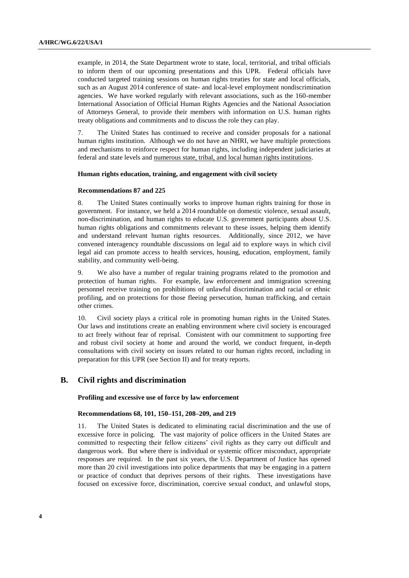example, in 2014, the State Department wrote to state, local, territorial, and tribal officials to inform them of our upcoming presentations and this UPR. Federal officials have conducted targeted training sessions on human rights treaties for state and local officials, such as an August 2014 conference of state- and local-level employment nondiscrimination agencies. We have worked regularly with relevant associations, such as the 160-member International Association of Official Human Rights Agencies and the National Association of Attorneys General, to provide their members with information on U.S. human rights treaty obligations and commitments and to discuss the role they can play.

7. The United States has continued to receive and consider proposals for a national human rights institution. Although we do not have an NHRI, we have multiple protections and mechanisms to reinforce respect for human rights, including independent judiciaries at federal and state levels and numerous state, tribal, and local human rights institutions.

#### **Human rights education, training, and engagement with civil society**

#### **Recommendations 87 and 225**

8. The United States continually works to improve human rights training for those in government. For instance, we held a 2014 roundtable on domestic violence, sexual assault, non-discrimination, and human rights to educate U.S. government participants about U.S. human rights obligations and commitments relevant to these issues, helping them identify and understand relevant human rights resources. Additionally, since 2012, we have convened interagency roundtable discussions on legal aid to explore ways in which civil legal aid can promote access to health services, housing, education, employment, family stability, and community well-being.

9. We also have a number of regular training programs related to the promotion and protection of human rights. For example, law enforcement and immigration screening personnel receive training on prohibitions of unlawful discrimination and racial or ethnic profiling, and on protections for those fleeing persecution, human trafficking, and certain other crimes.

10. Civil society plays a critical role in promoting human rights in the United States. Our laws and institutions create an enabling environment where civil society is encouraged to act freely without fear of reprisal. Consistent with our commitment to supporting free and robust civil society at home and around the world, we conduct frequent, in-depth consultations with civil society on issues related to our human rights record, including in preparation for this UPR (see Section II) and for treaty reports.

### **B. Civil rights and discrimination**

#### **Profiling and excessive use of force by law enforcement**

#### **Recommendations 68, 101, 150–151, 208–209, and 219**

11. The United States is dedicated to eliminating racial discrimination and the use of excessive force in policing. The vast majority of police officers in the United States are committed to respecting their fellow citizens' civil rights as they carry out difficult and dangerous work. But where there is individual or systemic officer misconduct, appropriate responses are required. In the past six years, the U.S. Department of Justice has opened more than 20 civil investigations into police departments that may be engaging in a pattern or practice of conduct that deprives persons of their rights. These investigations have focused on excessive force, discrimination, coercive sexual conduct, and unlawful stops,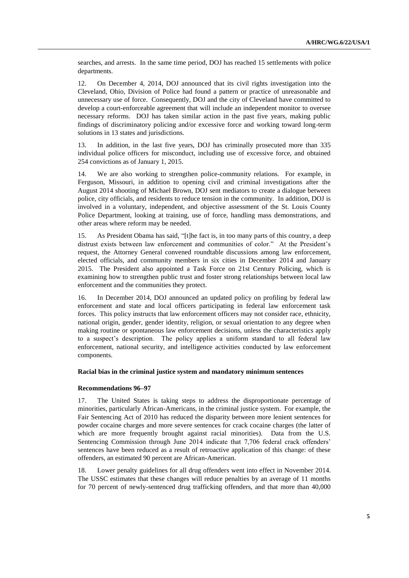searches, and arrests. In the same time period, DOJ has reached 15 settlements with police departments.

12. On December 4, 2014, DOJ announced that its civil rights investigation into the Cleveland, Ohio, Division of Police had found a pattern or practice of unreasonable and unnecessary use of force. Consequently, DOJ and the city of Cleveland have committed to develop a court-enforceable agreement that will include an independent monitor to oversee necessary reforms. DOJ has taken similar action in the past five years, making public findings of discriminatory policing and/or excessive force and working toward long-term solutions in 13 states and jurisdictions.

13. In addition, in the last five years, DOJ has criminally prosecuted more than 335 individual police officers for misconduct, including use of excessive force, and obtained 254 convictions as of January 1, 2015.

14. We are also working to strengthen police-community relations. For example, in Ferguson, Missouri, in addition to opening civil and criminal investigations after the August 2014 shooting of Michael Brown, DOJ sent mediators to create a dialogue between police, city officials, and residents to reduce tension in the community. In addition, DOJ is involved in a voluntary, independent, and objective assessment of the St. Louis County Police Department, looking at training, use of force, handling mass demonstrations, and other areas where reform may be needed.

15. As President Obama has said, "[t]he fact is, in too many parts of this country, a deep distrust exists between law enforcement and communities of color." At the President's request, the Attorney General convened roundtable discussions among law enforcement, elected officials, and community members in six cities in December 2014 and January 2015. The President also appointed a Task Force on 21st Century Policing, which is examining how to strengthen public trust and foster strong relationships between local law enforcement and the communities they protect.

16. In December 2014, DOJ announced an updated policy on profiling by federal law enforcement and state and local officers participating in federal law enforcement task forces. This policy instructs that law enforcement officers may not consider race, ethnicity, national origin, gender, gender identity, religion, or sexual orientation to any degree when making routine or spontaneous law enforcement decisions, unless the characteristics apply to a suspect's description. The policy applies a uniform standard to all federal law enforcement, national security, and intelligence activities conducted by law enforcement components.

### **Racial bias in the criminal justice system and mandatory minimum sentences**

#### **Recommendations 96–97**

17. The United States is taking steps to address the disproportionate percentage of minorities, particularly African-Americans, in the criminal justice system. For example, the Fair Sentencing Act of 2010 has reduced the disparity between more lenient sentences for powder cocaine charges and more severe sentences for crack cocaine charges (the latter of which are more frequently brought against racial minorities). Data from the U.S. Sentencing Commission through June 2014 indicate that 7,706 federal crack offenders' sentences have been reduced as a result of retroactive application of this change: of these offenders, an estimated 90 percent are African-American.

18. Lower penalty guidelines for all drug offenders went into effect in November 2014. The USSC estimates that these changes will reduce penalties by an average of 11 months for 70 percent of newly-sentenced drug trafficking offenders, and that more than 40,000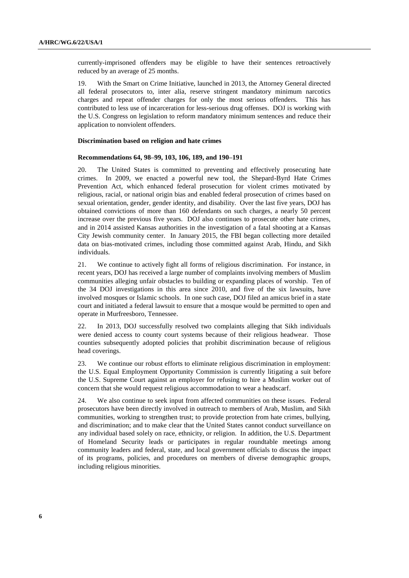currently-imprisoned offenders may be eligible to have their sentences retroactively reduced by an average of 25 months.

19. With the Smart on Crime Initiative, launched in 2013, the Attorney General directed all federal prosecutors to, inter alia, reserve stringent mandatory minimum narcotics charges and repeat offender charges for only the most serious offenders. This has contributed to less use of incarceration for less-serious drug offenses. DOJ is working with the U.S. Congress on legislation to reform mandatory minimum sentences and reduce their application to nonviolent offenders.

### **Discrimination based on religion and hate crimes**

#### **Recommendations 64, 98–99, 103, 106, 189, and 190–191**

20. The United States is committed to preventing and effectively prosecuting hate crimes. In 2009, we enacted a powerful new tool, the Shepard-Byrd Hate Crimes Prevention Act, which enhanced federal prosecution for violent crimes motivated by religious, racial, or national origin bias and enabled federal prosecution of crimes based on sexual orientation, gender, gender identity, and disability. Over the last five years, DOJ has obtained convictions of more than 160 defendants on such charges, a nearly 50 percent increase over the previous five years. DOJ also continues to prosecute other hate crimes, and in 2014 assisted Kansas authorities in the investigation of a fatal shooting at a Kansas City Jewish community center. In January 2015, the FBI began collecting more detailed data on bias-motivated crimes, including those committed against Arab, Hindu, and Sikh individuals.

21. We continue to actively fight all forms of religious discrimination. For instance, in recent years, DOJ has received a large number of complaints involving members of Muslim communities alleging unfair obstacles to building or expanding places of worship. Ten of the 34 DOJ investigations in this area since 2010, and five of the six lawsuits, have involved mosques or Islamic schools. In one such case, DOJ filed an amicus brief in a state court and initiated a federal lawsuit to ensure that a mosque would be permitted to open and operate in Murfreesboro, Tennessee.

22. In 2013, DOJ successfully resolved two complaints alleging that Sikh individuals were denied access to county court systems because of their religious headwear. Those counties subsequently adopted policies that prohibit discrimination because of religious head coverings.

23. We continue our robust efforts to eliminate religious discrimination in employment: the U.S. Equal Employment Opportunity Commission is currently litigating a suit before the U.S. Supreme Court against an employer for refusing to hire a Muslim worker out of concern that she would request religious accommodation to wear a headscarf.

24. We also continue to seek input from affected communities on these issues. Federal prosecutors have been directly involved in outreach to members of Arab, Muslim, and Sikh communities, working to strengthen trust; to provide protection from hate crimes, bullying, and discrimination; and to make clear that the United States cannot conduct surveillance on any individual based solely on race, ethnicity, or religion. In addition, the U.S. Department of Homeland Security leads or participates in regular roundtable meetings among community leaders and federal, state, and local government officials to discuss the impact of its programs, policies, and procedures on members of diverse demographic groups, including religious minorities.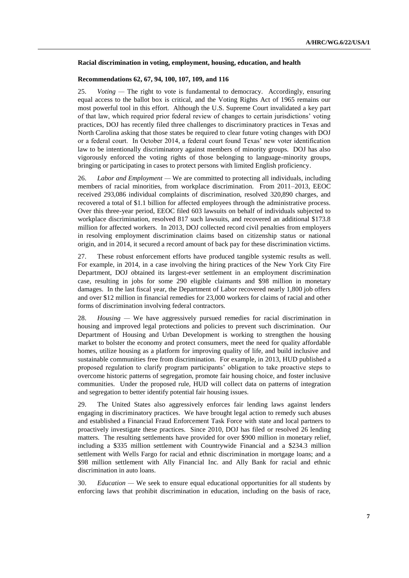#### **Racial discrimination in voting, employment, housing, education, and health**

### **Recommendations 62, 67, 94, 100, 107, 109, and 116**

25. *Voting —* The right to vote is fundamental to democracy. Accordingly, ensuring equal access to the ballot box is critical, and the Voting Rights Act of 1965 remains our most powerful tool in this effort. Although the U.S. Supreme Court invalidated a key part of that law, which required prior federal review of changes to certain jurisdictions' voting practices, DOJ has recently filed three challenges to discriminatory practices in Texas and North Carolina asking that those states be required to clear future voting changes with DOJ or a federal court. In October 2014, a federal court found Texas' new voter identification law to be intentionally discriminatory against members of minority groups. DOJ has also vigorously enforced the voting rights of those belonging to language-minority groups, bringing or participating in cases to protect persons with limited English proficiency.

26. *Labor and Employment —* We are committed to protecting all individuals, including members of racial minorities, from workplace discrimination. From 2011–2013, EEOC received 293,086 individual complaints of discrimination, resolved 320,890 charges, and recovered a total of \$1.1 billion for affected employees through the administrative process. Over this three-year period, EEOC filed 603 lawsuits on behalf of individuals subjected to workplace discrimination, resolved 817 such lawsuits, and recovered an additional \$173.8 million for affected workers. In 2013, DOJ collected record civil penalties from employers in resolving employment discrimination claims based on citizenship status or national origin, and in 2014, it secured a record amount of back pay for these discrimination victims.

27. These robust enforcement efforts have produced tangible systemic results as well. For example, in 2014, in a case involving the hiring practices of the New York City Fire Department, DOJ obtained its largest-ever settlement in an employment discrimination case, resulting in jobs for some 290 eligible claimants and \$98 million in monetary damages. In the last fiscal year, the Department of Labor recovered nearly 1,800 job offers and over \$12 million in financial remedies for 23,000 workers for claims of racial and other forms of discrimination involving federal contractors.

28. *Housing —* We have aggressively pursued remedies for racial discrimination in housing and improved legal protections and policies to prevent such discrimination. Our Department of Housing and Urban Development is working to strengthen the housing market to bolster the economy and protect consumers, meet the need for quality affordable homes, utilize housing as a platform for improving quality of life, and build inclusive and sustainable communities free from discrimination. For example, in 2013, HUD published a proposed regulation to clarify program participants' obligation to take proactive steps to overcome historic patterns of segregation, promote fair housing choice, and foster inclusive communities. Under the proposed rule, HUD will collect data on patterns of integration and segregation to better identify potential fair housing issues.

29. The United States also aggressively enforces fair lending laws against lenders engaging in discriminatory practices. We have brought legal action to remedy such abuses and established a Financial Fraud Enforcement Task Force with state and local partners to proactively investigate these practices. Since 2010, DOJ has filed or resolved 26 lending matters. The resulting settlements have provided for over \$900 million in monetary relief, including a \$335 million settlement with Countrywide Financial and a \$234.3 million settlement with Wells Fargo for racial and ethnic discrimination in mortgage loans; and a \$98 million settlement with Ally Financial Inc. and Ally Bank for racial and ethnic discrimination in auto loans.

30. *Education —* We seek to ensure equal educational opportunities for all students by enforcing laws that prohibit discrimination in education, including on the basis of race,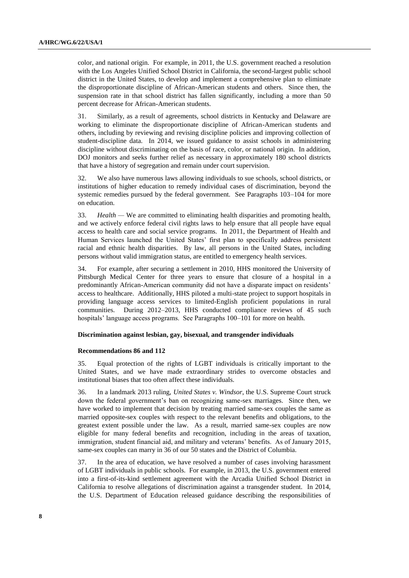color, and national origin. For example, in 2011, the U.S. government reached a resolution with the Los Angeles Unified School District in California, the second-largest public school district in the United States, to develop and implement a comprehensive plan to eliminate the disproportionate discipline of African-American students and others. Since then, the suspension rate in that school district has fallen significantly, including a more than 50 percent decrease for African-American students.

31. Similarly, as a result of agreements, school districts in Kentucky and Delaware are working to eliminate the disproportionate discipline of African-American students and others, including by reviewing and revising discipline policies and improving collection of student-discipline data.In 2014, we issued guidance to assist schools in administering discipline without discriminating on the basis of race, color, or national origin. In addition, DOJ monitors and seeks further relief as necessary in approximately 180 school districts that have a history of segregation and remain under court supervision.

32. We also have numerous laws allowing individuals to sue schools, school districts, or institutions of higher education to remedy individual cases of discrimination, beyond the systemic remedies pursued by the federal government. See Paragraphs 103–104 for more on education.

33. *Health —* We are committed to eliminating health disparities and promoting health, and we actively enforce federal civil rights laws to help ensure that all people have equal access to health care and social service programs. In 2011, the Department of Health and Human Services launched the United States' first plan to specifically address persistent racial and ethnic health disparities. By law, all persons in the United States, including persons without valid immigration status, are entitled to emergency health services.

34. For example, after securing a settlement in 2010, HHS monitored the University of Pittsburgh Medical Center for three years to ensure that closure of a hospital in a predominantly African-American community did not have a disparate impact on residents' access to healthcare. Additionally, HHS piloted a multi-state project to support hospitals in providing language access services to limited-English proficient populations in rural communities. During 2012–2013, HHS conducted compliance reviews of 45 such hospitals' language access programs. See Paragraphs 100–101 for more on health.

### **Discrimination against lesbian, gay, bisexual, and transgender individuals**

### **Recommendations 86 and 112**

35. Equal protection of the rights of LGBT individuals is critically important to the United States, and we have made extraordinary strides to overcome obstacles and institutional biases that too often affect these individuals.

36. In a landmark 2013 ruling, *United States v. Windsor*, the U.S. Supreme Court struck down the federal government's ban on recognizing same-sex marriages. Since then, we have worked to implement that decision by treating married same-sex couples the same as married opposite-sex couples with respect to the relevant benefits and obligations, to the greatest extent possible under the law. As a result, married same-sex couples are now eligible for many federal benefits and recognition, including in the areas of taxation, immigration, student financial aid, and military and veterans' benefits. As of January 2015, same-sex couples can marry in 36 of our 50 states and the District of Columbia.

37. In the area of education, we have resolved a number of cases involving harassment of LGBT individuals in public schools. For example, in 2013, the U.S. government entered into a first-of-its-kind settlement agreement with the Arcadia Unified School District in California to resolve allegations of discrimination against a transgender student. In 2014, the U.S. Department of Education released guidance describing the responsibilities of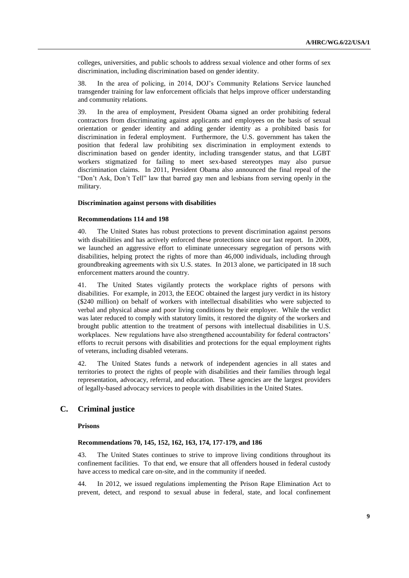colleges, universities, and public schools to address sexual violence and other forms of sex discrimination, including discrimination based on gender identity.

38. In the area of policing, in 2014, DOJ's Community Relations Service launched transgender training for law enforcement officials that helps improve officer understanding and community relations.

39. In the area of employment, President Obama signed an order prohibiting federal contractors from discriminating against applicants and employees on the basis of sexual orientation or gender identity and adding gender identity as a prohibited basis for discrimination in federal employment. Furthermore, the U.S. government has taken the position that federal law prohibiting sex discrimination in employment extends to discrimination based on gender identity, including transgender status, and that LGBT workers stigmatized for failing to meet sex-based stereotypes may also pursue discrimination claims. In 2011, President Obama also announced the final repeal of the "Don't Ask, Don't Tell" law that barred gay men and lesbians from serving openly in the military.

#### **Discrimination against persons with disabilities**

#### **Recommendations 114 and 198**

40. The United States has robust protections to prevent discrimination against persons with disabilities and has actively enforced these protections since our last report. In 2009, we launched an aggressive effort to eliminate unnecessary segregation of persons with disabilities, helping protect the rights of more than 46,000 individuals, including through groundbreaking agreements with six U.S. states. In 2013 alone, we participated in 18 such enforcement matters around the country.

41. The United States vigilantly protects the workplace rights of persons with disabilities. For example, in 2013, the EEOC obtained the largest jury verdict in its history (\$240 million) on behalf of workers with intellectual disabilities who were subjected to verbal and physical abuse and poor living conditions by their employer. While the verdict was later reduced to comply with statutory limits, it restored the dignity of the workers and brought public attention to the treatment of persons with intellectual disabilities in U.S. workplaces. New regulations have also strengthened accountability for federal contractors' efforts to recruit persons with disabilities and protections for the equal employment rights of veterans, including disabled veterans.

42. The United States funds a network of independent agencies in all states and territories to protect the rights of people with disabilities and their families through legal representation, advocacy, referral, and education. These agencies are the largest providers of legally-based advocacy services to people with disabilities in the United States.

### **C. Criminal justice**

#### **Prisons**

#### **Recommendations 70, 145, 152, 162, 163, 174, 177-179, and 186**

43. The United States continues to strive to improve living conditions throughout its confinement facilities. To that end, we ensure that all offenders housed in federal custody have access to medical care on-site, and in the community if needed.

44. In 2012, we issued regulations implementing the Prison Rape Elimination Act to prevent, detect, and respond to sexual abuse in federal, state, and local confinement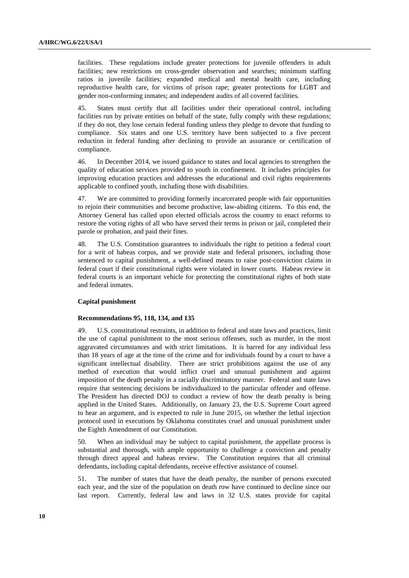facilities. These regulations include greater protections for juvenile offenders in adult facilities; new restrictions on cross-gender observation and searches; minimum staffing ratios in juvenile facilities; expanded medical and mental health care, including reproductive health care, for victims of prison rape; greater protections for LGBT and gender non-conforming inmates; and independent audits of all covered facilities.

45. States must certify that all facilities under their operational control, including facilities run by private entities on behalf of the state, fully comply with these regulations; if they do not, they lose certain federal funding unless they pledge to devote that funding to compliance. Six states and one U.S. territory have been subjected to a five percent reduction in federal funding after declining to provide an assurance or certification of compliance.

46. In December 2014, we issued guidance to states and local agencies to strengthen the quality of education services provided to youth in confinement. It includes principles for improving education practices and addresses the educational and civil rights requirements applicable to confined youth, including those with disabilities.

47. We are committed to providing formerly incarcerated people with fair opportunities to rejoin their communities and become productive, law-abiding citizens. To this end, the Attorney General has called upon elected officials across the country to enact reforms to restore the voting rights of all who have served their terms in prison or jail, completed their parole or probation, and paid their fines.

48. The U.S. Constitution guarantees to individuals the right to petition a federal court for a writ of habeas corpus, and we provide state and federal prisoners, including those sentenced to capital punishment, a well-defined means to raise post-conviction claims in federal court if their constitutional rights were violated in lower courts. Habeas review in federal courts is an important vehicle for protecting the constitutional rights of both state and federal inmates.

#### **Capital punishment**

#### **Recommendations 95, 118, 134, and 135**

49. U.S. constitutional restraints, in addition to federal and state laws and practices, limit the use of capital punishment to the most serious offenses, such as murder, in the most aggravated circumstances and with strict limitations. It is barred for any individual less than 18 years of age at the time of the crime and for individuals found by a court to have a significant intellectual disability. There are strict prohibitions against the use of any method of execution that would inflict cruel and unusual punishment and against imposition of the death penalty in a racially discriminatory manner. Federal and state laws require that sentencing decisions be individualized to the particular offender and offense. The President has directed DOJ to conduct a review of how the death penalty is being applied in the United States. Additionally, on January 23, the U.S. Supreme Court agreed to hear an argument, and is expected to rule in June 2015, on whether the lethal injection protocol used in executions by Oklahoma constitutes cruel and unusual punishment under the Eighth Amendment of our Constitution.

50. When an individual may be subject to capital punishment, the appellate process is substantial and thorough, with ample opportunity to challenge a conviction and penalty through direct appeal and habeas review. The Constitution requires that all criminal defendants, including capital defendants, receive effective assistance of counsel.

51. The number of states that have the death penalty, the number of persons executed each year, and the size of the population on death row have continued to decline since our last report. Currently, federal law and laws in 32 U.S. states provide for capital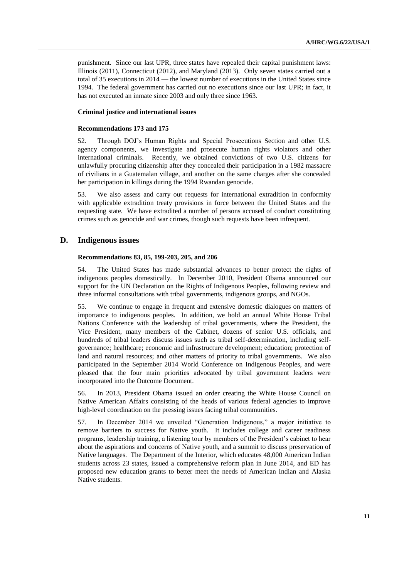punishment. Since our last UPR, three states have repealed their capital punishment laws: Illinois (2011), Connecticut (2012), and Maryland (2013). Only seven states carried out a total of 35 executions in 2014 — the lowest number of executions in the United States since 1994. The federal government has carried out no executions since our last UPR; in fact, it has not executed an inmate since 2003 and only three since 1963.

### **Criminal justice and international issues**

#### **Recommendations 173 and 175**

52. Through DOJ's Human Rights and Special Prosecutions Section and other U.S. agency components, we investigate and prosecute human rights violators and other international criminals. Recently, we obtained convictions of two U.S. citizens for unlawfully procuring citizenship after they concealed their participation in a 1982 massacre of civilians in a Guatemalan village, and another on the same charges after she concealed her participation in killings during the 1994 Rwandan genocide.

53. We also assess and carry out requests for international extradition in conformity with applicable extradition treaty provisions in force between the United States and the requesting state. We have extradited a number of persons accused of conduct constituting crimes such as genocide and war crimes, though such requests have been infrequent.

### **D. Indigenous issues**

#### **Recommendations 83, 85, 199-203, 205, and 206**

54. The United States has made substantial advances to better protect the rights of indigenous peoples domestically. In December 2010, President Obama announced our support for the UN Declaration on the Rights of Indigenous Peoples, following review and three informal consultations with tribal governments, indigenous groups, and NGOs.

55. We continue to engage in frequent and extensive domestic dialogues on matters of importance to indigenous peoples. In addition, we hold an annual White House Tribal Nations Conference with the leadership of tribal governments, where the President, the Vice President, many members of the Cabinet, dozens of senior U.S. officials, and hundreds of tribal leaders discuss issues such as tribal self-determination, including selfgovernance; healthcare; economic and infrastructure development; education; protection of land and natural resources; and other matters of priority to tribal governments. We also participated in the September 2014 World Conference on Indigenous Peoples, and were pleased that the four main priorities advocated by tribal government leaders were incorporated into the Outcome Document.

56. In 2013, President Obama issued an order creating the White House Council on Native American Affairs consisting of the heads of various federal agencies to improve high-level coordination on the pressing issues facing tribal communities.

57. In December 2014 we unveiled "Generation Indigenous," a major initiative to remove barriers to success for Native youth. It includes college and career readiness programs, leadership training, a listening tour by members of the President's cabinet to hear about the aspirations and concerns of Native youth, and a summit to discuss preservation of Native languages. The Department of the Interior, which educates 48,000 American Indian students across 23 states, issued a comprehensive reform plan in June 2014, and ED has proposed new education grants to better meet the needs of American Indian and Alaska Native students.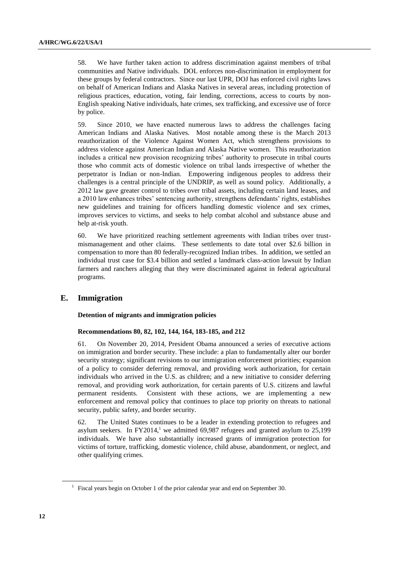58. We have further taken action to address discrimination against members of tribal communities and Native individuals. DOL enforces non-discrimination in employment for these groups by federal contractors. Since our last UPR, DOJ has enforced civil rights laws on behalf of American Indians and Alaska Natives in several areas, including protection of religious practices, education, voting, fair lending, corrections, access to courts by non-English speaking Native individuals, hate crimes, sex trafficking, and excessive use of force by police.

59. Since 2010, we have enacted numerous laws to address the challenges facing American Indians and Alaska Natives. Most notable among these is the March 2013 reauthorization of the Violence Against Women Act, which strengthens provisions to address violence against American Indian and Alaska Native women. This reauthorization includes a critical new provision recognizing tribes' authority to prosecute in tribal courts those who commit acts of domestic violence on tribal lands irrespective of whether the perpetrator is Indian or non-Indian. Empowering indigenous peoples to address their challenges is a central principle of the UNDRIP, as well as sound policy. Additionally, a 2012 law gave greater control to tribes over tribal assets, including certain land leases, and a 2010 law enhances tribes' sentencing authority, strengthens defendants' rights, establishes new guidelines and training for officers handling domestic violence and sex crimes, improves services to victims, and seeks to help combat alcohol and substance abuse and help at-risk youth.

60. We have prioritized reaching settlement agreements with Indian tribes over trustmismanagement and other claims. These settlements to date total over \$2.6 billion in compensation to more than 80 federally-recognized Indian tribes. In addition, we settled an individual trust case for \$3.4 billion and settled a landmark class-action lawsuit by Indian farmers and ranchers alleging that they were discriminated against in federal agricultural programs.

## **E. Immigration**

### **Detention of migrants and immigration policies**

#### **Recommendations 80, 82, 102, 144, 164, 183-185, and 212**

61. On November 20, 2014, President Obama announced a series of executive actions on immigration and border security. These include: a plan to fundamentally alter our border security strategy; significant revisions to our immigration enforcement priorities; expansion of a policy to consider deferring removal, and providing work authorization, for certain individuals who arrived in the U.S. as children; and a new initiative to consider deferring removal, and providing work authorization, for certain parents of U.S. citizens and lawful permanent residents. Consistent with these actions, we are implementing a new [enforcement and removal policy](http://www.dhs.gov/sites/default/files/publications/14_1120_memo_prosecutorial_discretion.pdf) that continues to place top priority on threats to national security, public safety, and border security.

62. The United States continues to be a leader in extending protection to refugees and asylum seekers. In FY2014,<sup>1</sup> we admitted 69,987 refugees and granted asylum to  $25,199$ individuals. We have also substantially increased grants of immigration protection for victims of torture, trafficking, domestic violence, child abuse, abandonment, or neglect, and other qualifying crimes.

 $1$  Fiscal years begin on October 1 of the prior calendar year and end on September 30.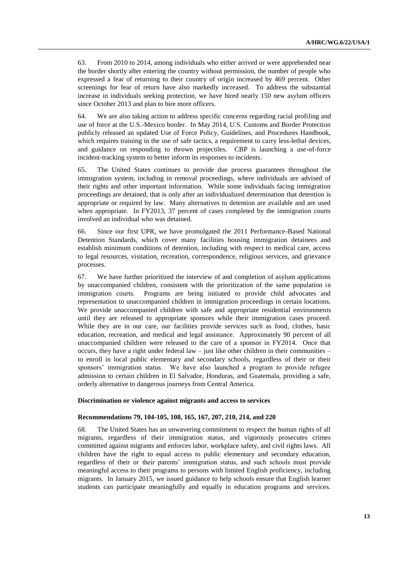63. From 2010 to 2014, among individuals who either arrived or were apprehended near the border shortly after entering the country without permission, the number of people who expressed a fear of returning to their country of origin increased by 469 percent. Other screenings for fear of return have also markedly increased. To address the substantial increase in individuals seeking protection, we have hired nearly 150 new asylum officers since October 2013 and plan to hire more officers.

64. We are also taking action to address specific concerns regarding racial profiling and use of force at the U.S.-Mexico border. In May 2014, U.S. Customs and Border Protection publicly released an updated Use of Force Policy, Guidelines, and Procedures Handbook, which requires training in the use of safe tactics, a requirement to carry less-lethal devices, and guidance on responding to thrown projectiles. CBP is launching a use-of-force incident-tracking system to better inform its responses to incidents.

65. The United States continues to provide due process guarantees throughout the immigration system, including in removal proceedings, where individuals are advised of their rights and other important information. While some individuals facing immigration proceedings are detained, that is only after an individualized determination that detention is appropriate or required by law. Many alternatives to detention are available and are used when appropriate. In FY2013, 37 percent of cases completed by the immigration courts involved an individual who was detained.

66. Since our first UPR, we have promulgated the 2011 Performance-Based National Detention Standards, which cover many facilities housing immigration detainees and establish minimum conditions of detention, including with respect to medical care, access to legal resources, visitation, recreation, correspondence, religious services, and grievance processes.

67. We have further prioritized the interview of and completion of asylum applications by unaccompanied children, consistent with the prioritization of the same population in immigration courts. Programs are being initiated to provide child advocates and representation to unaccompanied children in immigration proceedings in certain locations. We provide unaccompanied children with safe and appropriate residential environments until they are released to appropriate sponsors while their immigration cases proceed. While they are in our care, our facilities provide services such as food, clothes, basic education, recreation, and medical and legal assistance. Approximately 90 percent of all unaccompanied children were released to the care of a sponsor in FY2014. Once that occurs, they have a right under federal law – just like other children in their communities – to enroll in local public elementary and secondary schools, regardless of their or their sponsors' immigration status. We have also launched a program to provide refugee admission to certain children in El Salvador, Honduras, and Guatemala, providing a safe, orderly alternative to dangerous journeys from Central America.

#### **Discrimination or violence against migrants and access to services**

#### **Recommendations 79, 104-105, 108, 165, 167, 207, 210, 214, and 220**

68. The United States has an unwavering commitment to respect the human rights of all migrants, regardless of their immigration status, and vigorously prosecutes crimes committed against migrants and enforces labor, workplace safety, and civil rights laws. All children have the right to equal access to public elementary and secondary education, regardless of their or their parents' immigration status, and such schools must provide meaningful access to their programs to persons with limited English proficiency, including migrants. In January 2015, we issued guidance to help schools ensure that English learner students can participate meaningfully and equally in education programs and services.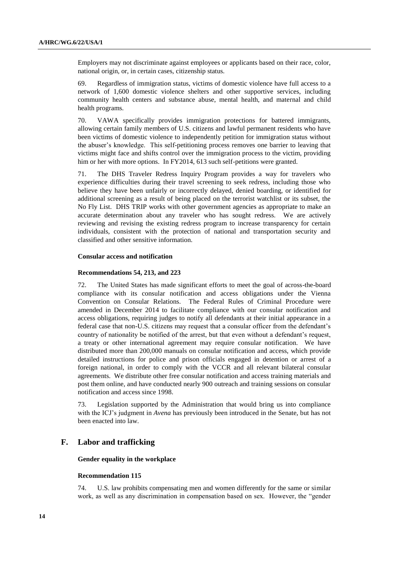Employers may not discriminate against employees or applicants based on their race, color, national origin, or, in certain cases, citizenship status.

69. Regardless of immigration status, victims of domestic violence have full access to a network of 1,600 domestic violence shelters and other supportive services, including community health centers and substance abuse, mental health, and maternal and child health programs.

70. VAWA specifically provides immigration protections for battered immigrants, allowing certain family members of U.S. citizens and lawful permanent residents who have been victims of domestic violence to independently petition for immigration status without the abuser's knowledge. This self-petitioning process removes one barrier to leaving that victims might face and shifts control over the immigration process to the victim, providing him or her with more options. In FY2014, 613 such self-petitions were granted.

71. The DHS Traveler Redress Inquiry Program provides a way for travelers who experience difficulties during their travel screening to seek redress, including those who believe they have been unfairly or incorrectly delayed, denied boarding, or identified for additional screening as a result of being placed on the terrorist watchlist or its subset, the No Fly List. DHS TRIP works with other government agencies as appropriate to make an accurate determination about any traveler who has sought redress. We are actively reviewing and revising the existing redress program to increase transparency for certain individuals, consistent with the protection of national and transportation security and classified and other sensitive information.

#### **Consular access and notification**

#### **Recommendations 54, 213, and 223**

72. The United States has made significant efforts to meet the goal of across-the-board compliance with its consular notification and access obligations under the Vienna Convention on Consular Relations. The Federal Rules of Criminal Procedure were amended in December 2014 to facilitate compliance with our consular notification and access obligations, requiring judges to notify all defendants at their initial appearance in a federal case that non-U.S. citizens may request that a consular officer from the defendant's country of nationality be notified of the arrest, but that even without a defendant's request, a treaty or other international agreement may require consular notification. We have distributed more than 200,000 [manuals](http://travel.state.gov/content/dam/travel/CNAtrainingresources/CNAManual_Feb2014.pdf) on consular notification and access, which provide detailed instructions for police and prison officials engaged in detention or arrest of a foreign national, in order to comply with the VCCR and all relevant bilateral consular agreements. We distribute other [free consular notification and access](http://travel.state.gov/content/travel/english/consularnotification.html) training materials and post them online, and have conducted nearly 900 outreach and training sessions on consular notification and access since 1998.

73. Legislation supported by the Administration that would bring us into compliance with the ICJ's judgment in *Avena* has previously been introduced in the Senate, but has not been enacted into law.

## **F. Labor and trafficking**

#### **Gender equality in the workplace**

#### **Recommendation 115**

74. U.S. law prohibits compensating men and women differently for the same or similar work, as well as any discrimination in compensation based on sex. However, the "gender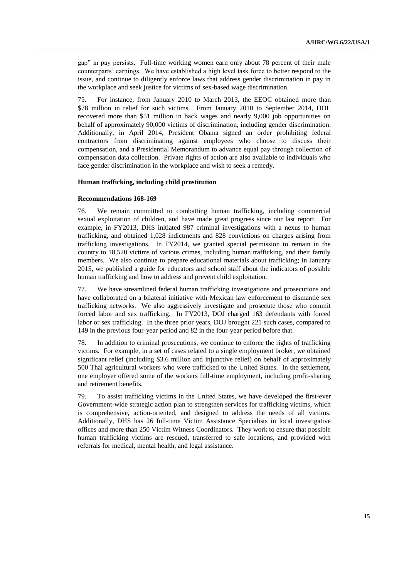gap" in pay persists. Full-time working women earn only about 78 percent of their male counterparts' earnings. We have established a high level task force to better respond to the issue, and continue to diligently enforce laws that address gender discrimination in pay in the workplace and seek justice for victims of sex-based wage discrimination.

75. For instance, from January 2010 to March 2013, the EEOC obtained more than \$78 million in relief for such victims. From January 2010 to September 2014, DOL recovered more than \$51 million in back wages and nearly 9,000 job opportunities on behalf of approximately 90,000 victims of discrimination, including gender discrimination. Additionally, in April 2014, President Obama signed an order prohibiting federal contractors from discriminating against employees who choose to discuss their compensation, and a Presidential Memorandum to advance equal pay through collection of compensation data collection. Private rights of action are also available to individuals who face gender discrimination in the workplace and wish to seek a remedy.

#### **Human trafficking, including child prostitution**

#### **Recommendations 168-169**

76. We remain committed to combatting human trafficking, including commercial sexual exploitation of children, and have made great progress since our last report. For example, in FY2013, DHS initiated 987 criminal investigations with a nexus to human trafficking, and obtained 1,028 indictments and 828 convictions on charges arising from trafficking investigations. In FY2014, we granted special permission to remain in the country to 18,520 victims of various crimes, including human trafficking, and their family members. We also continue to prepare educational materials about trafficking; in January 2015, we published a guide for educators and school staff about the indicators of possible human trafficking and how to address and prevent child exploitation.

77. We have streamlined federal human trafficking investigations and prosecutions and have collaborated on a bilateral initiative with Mexican law enforcement to dismantle sex trafficking networks. We also aggressively investigate and prosecute those who commit forced labor and sex trafficking. In FY2013, DOJ charged 163 defendants with forced labor or sex trafficking. In the three prior years, DOJ brought 221 such cases, compared to 149 in the previous four-year period and 82 in the four-year period before that.

78. In addition to criminal prosecutions, we continue to enforce the rights of trafficking victims. For example, in a set of cases related to a single employment broker, we obtained significant relief (including \$3.6 million and injunctive relief) on behalf of approximately 500 Thai agricultural workers who were trafficked to the United States. In the settlement, one employer offered some of the workers full-time employment, including profit-sharing and retirement benefits.

79. To assist trafficking victims in the United States, we have developed the first-ever Government-wide strategic action plan to strengthen services for trafficking victims, which is comprehensive, action-oriented, and designed to address the needs of all victims. Additionally, DHS has 26 full-time Victim Assistance Specialists in local investigative offices and more than 250 Victim Witness Coordinators. They work to ensure that possible human trafficking victims are rescued, transferred to safe locations, and provided with referrals for medical, mental health, and legal assistance.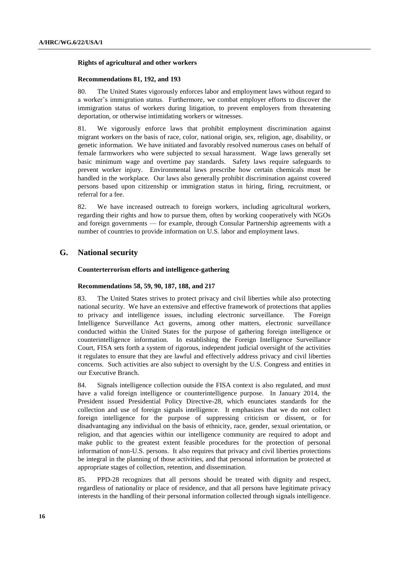#### **Rights of agricultural and other workers**

### **Recommendations 81, 192, and 193**

80. The United States vigorously enforces labor and employment laws without regard to a worker's immigration status. Furthermore, we combat employer efforts to discover the immigration status of workers during litigation, to prevent employers from threatening deportation, or otherwise intimidating workers or witnesses.

81. We vigorously enforce laws that prohibit employment discrimination against migrant workers on the basis of race, color, national origin, sex, religion, age, disability, or genetic information. We have initiated and favorably resolved numerous cases on behalf of female farmworkers who were subjected to sexual harassment. Wage laws generally set basic minimum wage and overtime pay standards. Safety laws require safeguards to prevent worker injury. Environmental laws prescribe how certain chemicals must be handled in the workplace. Our laws also generally prohibit discrimination against covered persons based upon citizenship or immigration status in hiring, firing, recruitment, or referral for a fee.

82. We have increased outreach to foreign workers, including agricultural workers, regarding their rights and how to pursue them, often by working cooperatively with NGOs and foreign governments — for example, through Consular Partnership agreements with a number of countries to provide information on U.S. labor and employment laws.

### **G. National security**

#### **Counterterrorism efforts and intelligence-gathering**

#### **Recommendations 58, 59, 90, 187, 188, and 217**

83. The United States strives to protect privacy and civil liberties while also protecting national security. We have an extensive and effective framework of protections that applies to privacy and intelligence issues, including electronic surveillance. The Foreign Intelligence Surveillance Act governs, among other matters, electronic surveillance conducted within the United States for the purpose of gathering foreign intelligence or counterintelligence information. In establishing the Foreign Intelligence Surveillance Court, FISA sets forth a system of rigorous, independent judicial oversight of the activities it regulates to ensure that they are lawful and effectively address privacy and civil liberties concerns. Such activities are also subject to oversight by the U.S. Congress and entities in our Executive Branch.

84. Signals intelligence collection outside the FISA context is also regulated, and must have a valid foreign intelligence or counterintelligence purpose. In January 2014, the President issued Presidential Policy Directive-28, which enunciates standards for the collection and use of foreign signals intelligence. It emphasizes that we do not collect foreign intelligence for the purpose of suppressing criticism or dissent, or for disadvantaging any individual on the basis of ethnicity, race, gender, sexual orientation, or religion, and that agencies within our intelligence community are required to adopt and make public to the greatest extent feasible procedures for the protection of personal information of non-U.S. persons. It also requires that privacy and civil liberties protections be integral in the planning of those activities, and that personal information be protected at appropriate stages of collection, retention, and dissemination.

85. PPD-28 recognizes that all persons should be treated with dignity and respect, regardless of nationality or place of residence, and that all persons have legitimate privacy interests in the handling of their personal information collected through signals intelligence.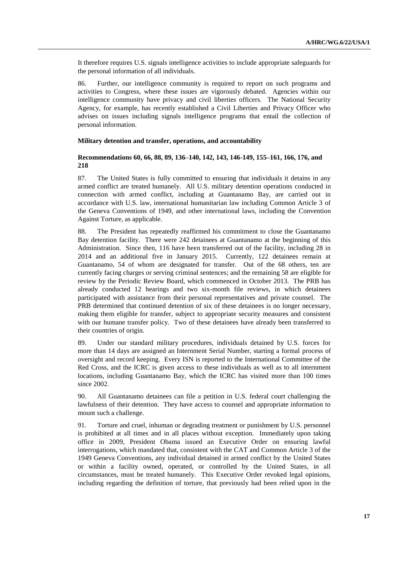It therefore requires U.S. signals intelligence activities to include appropriate safeguards for the personal information of all individuals.

86. Further, our intelligence community is required to report on such programs and activities to Congress, where these issues are vigorously debated. Agencies within our intelligence community have privacy and civil liberties officers. The National Security Agency, for example, has recently established a Civil Liberties and Privacy Officer who advises on issues including signals intelligence programs that entail the collection of personal information.

### **Military detention and transfer, operations, and accountability**

### **Recommendations 60, 66, 88, 89, 136–140, 142, 143, 146-149, 155–161, 166, 176, and 218**

87. The United States is fully committed to ensuring that individuals it detains in any armed conflict are treated humanely. All U.S. military detention operations conducted in connection with armed conflict, including at Guantanamo Bay, are carried out in accordance with U.S. law, international humanitarian law including Common Article 3 of the Geneva Conventions of 1949, and other international laws, including the Convention Against Torture, as applicable.

88. The President has repeatedly reaffirmed his commitment to close the Guantanamo Bay detention facility. There were 242 detainees at Guantanamo at the beginning of this Administration. Since then, 116 have been transferred out of the facility, including 28 in 2014 and an additional five in January 2015. Currently, 122 detainees remain at Guantanamo, 54 of whom are designated for transfer. Out of the 68 others, ten are currently facing charges or serving criminal sentences; and the remaining 58 are eligible for review by the Periodic Review Board, which commenced in October 2013. The PRB has already conducted 12 hearings and two six-month file reviews, in which detainees participated with assistance from their personal representatives and private counsel. The PRB determined that continued detention of six of these detainees is no longer necessary, making them eligible for transfer, subject to appropriate security measures and consistent with our humane transfer policy. Two of these detainees have already been transferred to their countries of origin.

89. Under our standard military procedures, individuals detained by U.S. forces for more than 14 days are assigned an Internment Serial Number, starting a formal process of oversight and record keeping. Every ISN is reported to the International Committee of the Red Cross, and the ICRC is given access to these individuals as well as to all internment locations, including Guantanamo Bay, which the ICRC has visited more than 100 times since 2002.

90. All Guantanamo detainees can file a petition in U.S. federal court challenging the lawfulness of their detention. They have access to counsel and appropriate information to mount such a challenge.

91. Torture and cruel, inhuman or degrading treatment or punishment by U.S. personnel is prohibited at all times and in all places without exception. Immediately upon taking office in 2009, President Obama issued an Executive Order on ensuring lawful interrogations, which mandated that, consistent with the CAT and Common Article 3 of the 1949 Geneva Conventions, any individual detained in armed conflict by the United States or within a facility owned, operated, or controlled by the United States, in all circumstances, must be treated humanely. This Executive Order revoked legal opinions, including regarding the definition of torture, that previously had been relied upon in the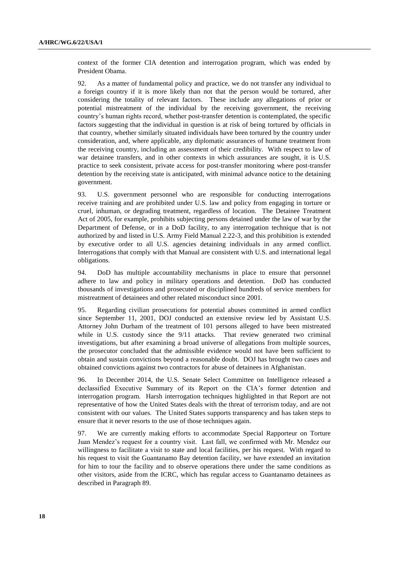context of the former CIA detention and interrogation program, which was ended by President Obama.

92. As a matter of fundamental policy and practice, we do not transfer any individual to a foreign country if it is more likely than not that the person would be tortured, after considering the totality of relevant factors. These include any allegations of prior or potential mistreatment of the individual by the receiving government, the receiving country's human rights record, whether post-transfer detention is contemplated, the specific factors suggesting that the individual in question is at risk of being tortured by officials in that country, whether similarly situated individuals have been tortured by the country under consideration, and, where applicable, any diplomatic assurances of humane treatment from the receiving country, including an assessment of their credibility. With respect to law of war detainee transfers, and in other contexts in which assurances are sought, it is U.S. practice to seek consistent, private access for post-transfer monitoring where post-transfer detention by the receiving state is anticipated, with minimal advance notice to the detaining government.

93. U.S. government personnel who are responsible for conducting interrogations receive training and are prohibited under U.S. law and policy from engaging in torture or cruel, inhuman, or degrading treatment, regardless of location. The Detainee Treatment Act of 2005, for example, prohibits subjecting persons detained under the law of war by the Department of Defense, or in a DoD facility, to any interrogation technique that is not authorized by and listed in [U.S. Army Field Manual 2.22-3,](http://armypubs.army.mil/doctrine/DR_pubs/dr_a/pdf/fm2_22x3.pdf) and this prohibition is extended by executive order to all U.S. agencies detaining individuals in any armed conflict. Interrogations that comply with that Manual are consistent with U.S. and international legal obligations.

94. DoD has multiple accountability mechanisms in place to ensure that personnel adhere to law and policy in military operations and detention. DoD has conducted thousands of investigations and prosecuted or disciplined hundreds of service members for mistreatment of detainees and other related misconduct since 2001.

95. Regarding civilian prosecutions for potential abuses committed in armed conflict since September 11, 2001, DOJ conducted an extensive review led by Assistant U.S. Attorney John Durham of the treatment of 101 persons alleged to have been mistreated while in U.S. custody since the  $9/11$  attacks. That review generated two criminal investigations, but after examining a broad universe of allegations from multiple sources, the prosecutor concluded that the admissible evidence would not have been sufficient to obtain and sustain convictions beyond a reasonable doubt. DOJ has brought two cases and obtained convictions against two contractors for abuse of detainees in Afghanistan.

96. In December 2014, the U.S. Senate Select Committee on Intelligence released a declassified Executive Summary of its Report on the CIA's former detention and interrogation program. Harsh interrogation techniques highlighted in that Report are not representative of how the United States deals with the threat of terrorism today, and are not consistent with our values. The United States supports transparency and has taken steps to ensure that it never resorts to the use of those techniques again.

97. We are currently making efforts to accommodate Special Rapporteur on Torture Juan Mendez's request for a country visit. Last fall, we confirmed with Mr. Mendez our willingness to facilitate a visit to state and local facilities, per his request. With regard to his request to visit the Guantanamo Bay detention facility, we have extended an invitation for him to tour the facility and to observe operations there under the same conditions as other visitors, aside from the ICRC, which has regular access to Guantanamo detainees as described in Paragraph 89.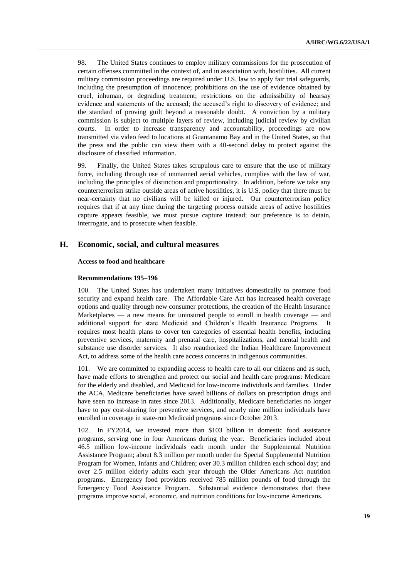98. The United States continues to employ military commissions for the prosecution of certain offenses committed in the context of, and in association with, hostilities. All current military commission proceedings are required under U.S. law to apply fair trial safeguards, including the presumption of innocence; prohibitions on the use of evidence obtained by cruel, inhuman, or degrading treatment; restrictions on the admissibility of hearsay evidence and statements of the accused; the accused's right to discovery of evidence; and the standard of proving guilt beyond a reasonable doubt. A conviction by a military commission is subject to multiple layers of review, including judicial review by civilian courts. In order to increase transparency and accountability, proceedings are now transmitted via video feed to locations at Guantanamo Bay and in the United States, so that the press and the public can view them with a 40-second delay to protect against the disclosure of classified information.

99. Finally, the United States takes scrupulous care to ensure that the use of military force, including through use of unmanned aerial vehicles, complies with the law of war, including the principles of distinction and proportionality. In addition, before we take any counterterrorism strike outside areas of active hostilities, it is U.S. policy that there must be near-certainty that no civilians will be killed or injured. Our counterterrorism policy requires that if at any time during the targeting process outside areas of active hostilities capture appears feasible, we must pursue capture instead; our preference is to detain, interrogate, and to prosecute when feasible.

### **H. Economic, social, and cultural measures**

#### **Access to food and healthcare**

#### **Recommendations 195–196**

100. The United States has undertaken many initiatives domestically to promote food security and expand health care. The Affordable Care Act has increased health coverage options and quality through new consumer protections, the creation of the Health Insurance Marketplaces — a new means for uninsured people to enroll in health coverage — and additional support for state Medicaid and Children's Health Insurance Programs. It requires most health plans to cover ten categories of essential health benefits, including preventive services, maternity and prenatal care, hospitalizations, and mental health and substance use disorder services. It also reauthorized the Indian Healthcare Improvement Act, to address some of the health care access concerns in indigenous communities.

101. We are committed to expanding access to health care to all our citizens and as such, have made efforts to strengthen and protect our social and health care programs: Medicare for the elderly and disabled, and Medicaid for low-income individuals and families. Under the ACA, Medicare beneficiaries have saved billions of dollars on prescription drugs and have seen no increase in rates since 2013. Additionally, Medicare beneficiaries no longer have to pay cost-sharing for preventive services, and nearly nine million individuals have enrolled in coverage in state-run Medicaid programs since October 2013.

102. In FY2014, we invested more than \$103 billion in domestic food assistance programs, serving one in four Americans during the year. Beneficiaries included about 46.5 million low-income individuals each month under the Supplemental Nutrition Assistance Program; about 8.3 million per month under the Special Supplemental Nutrition Program for Women, Infants and Children; over 30.3 million children each school day; and over 2.5 million elderly adults each year through the Older Americans Act nutrition programs. Emergency food providers received 785 million pounds of food through the Emergency Food Assistance Program. Substantial evidence demonstrates that these programs improve social, economic, and nutrition conditions for low-income Americans.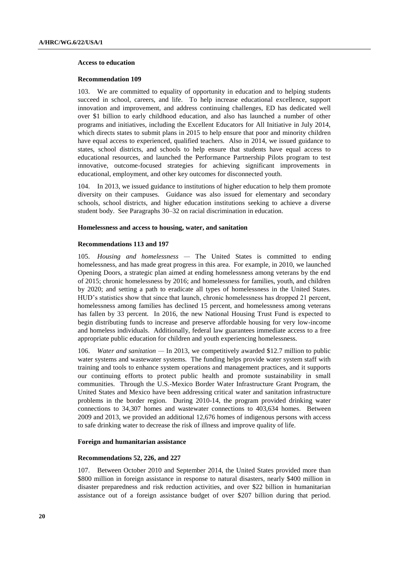#### **Access to education**

#### **Recommendation 109**

103. We are committed to equality of opportunity in education and to helping students succeed in school, careers, and life. To help increase educational excellence, support innovation and improvement, and address continuing challenges, ED has dedicated well over \$1 billion to early childhood education, and also has launched a number of other programs and initiatives, including the Excellent Educators for All Initiative in July 2014, which directs states to submit plans in 2015 to help ensure that poor and minority children have equal access to experienced, qualified teachers. Also in 2014, we issued guidance to states, school districts, and schools to help ensure that students have equal access to educational resources, and launched the Performance Partnership Pilots program to test innovative, outcome-focused strategies for achieving significant improvements in educational, employment, and other key outcomes for disconnected youth.

104. In 2013, we issued guidance to institutions of higher education to help them promote diversity on their campuses. Guidance was also issued for elementary and secondary schools, school districts, and higher education institutions seeking to achieve a diverse student body. See Paragraphs 30–32 on racial discrimination in education.

#### **Homelessness and access to housing, water, and sanitation**

### **Recommendations 113 and 197**

105. *Housing and homelessness —* The United States is committed to ending homelessness, and has made great progress in this area. For example, in 2010, we launched Opening Doors, a strategic plan aimed at ending homelessness among veterans by the end of 2015; chronic homelessness by 2016; and homelessness for families, youth, and children by 2020; and setting a path to eradicate all types of homelessness in the United States. HUD's statistics show that since that launch, chronic homelessness has dropped 21 percent, homelessness among families has declined 15 percent, and homelessness among veterans has fallen by 33 percent. In 2016, the new National Housing Trust Fund is expected to begin distributing funds to increase and preserve affordable housing for very low-income and homeless individuals. Additionally, federal law guarantees immediate access to a free appropriate public education for children and youth experiencing homelessness.

106. *Water and sanitation —* In 2013, we competitively awarded \$12.7 million to public water systems and wastewater systems. The funding helps provide water system staff with training and tools to enhance system operations and management practices, and it supports our continuing efforts to protect public health and promote sustainability in small communities. Through the U.S.-Mexico Border Water Infrastructure Grant Program, the United States and Mexico have been addressing critical water and sanitation infrastructure problems in the border region. During 2010-14, the program provided drinking water connections to 34,307 homes and wastewater connections to 403,634 homes. Between 2009 and 2013, we provided an additional 12,676 homes of indigenous persons with access to safe drinking water to decrease the risk of illness and improve quality of life.

#### **Foreign and humanitarian assistance**

#### **Recommendations 52, 226, and 227**

107. Between October 2010 and September 2014, the United States provided more than \$800 million in foreign assistance in response to natural disasters, nearly \$400 million in disaster preparedness and risk reduction activities, and over \$22 billion in humanitarian assistance out of a foreign assistance budget of over \$207 billion during that period.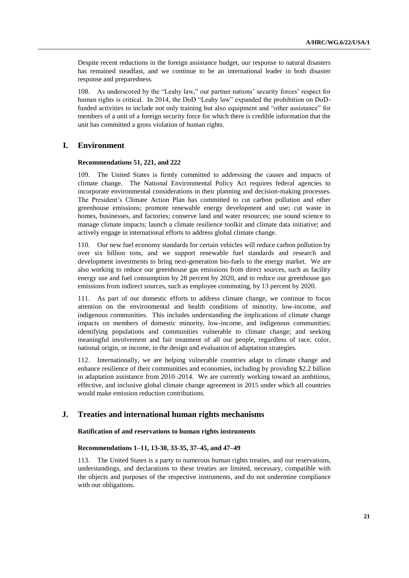Despite recent reductions in the foreign assistance budget, our response to natural disasters has remained steadfast, and we continue to be an international leader in both disaster response and preparedness.

108. As underscored by the "Leahy law," our partner nations' security forces' respect for human rights is critical. In 2014, the DoD "Leahy law" expanded the prohibition on DoDfunded activities to include not only training but also equipment and "other assistance" for members of a unit of a foreign security force for which there is credible information that the unit has committed a gross violation of human rights.

### **I. Environment**

### **Recommendations 51, 221, and 222**

109. The United States is firmly committed to addressing the causes and impacts of climate change. The National Environmental Policy Act requires federal agencies to incorporate environmental considerations in their planning and decision-making processes. The President's Climate Action Plan has committed to cut carbon pollution and other greenhouse emissions; promote renewable energy development and use; cut waste in homes, businesses, and factories; conserve land and water resources; use sound science to manage climate impacts; launch a climate resilience toolkit and climate data initiative; and actively engage in international efforts to address global climate change.

110. Our new fuel economy standards for certain vehicles will reduce carbon pollution by over six billion tons, and we support renewable fuel standards and research and development investments to bring next-generation bio-fuels to the energy market. We are also working to reduce our greenhouse gas emissions from direct sources, such as facility energy use and fuel consumption by 28 percent by 2020, and to reduce our greenhouse gas emissions from indirect sources, such as employee commuting, by 13 percent by 2020.

111. As part of our domestic efforts to address climate change, we continue to focus attention on the environmental and health conditions of minority, low-income, and indigenous communities. This includes understanding the implications of climate change impacts on members of domestic minority, low-income, and indigenous communities; identifying populations and communities vulnerable to climate change; and seeking meaningful involvement and fair treatment of all our people, regardless of race, color, national origin, or income, in the design and evaluation of adaptation strategies.

112. Internationally, we are helping vulnerable countries adapt to climate change and enhance resilience of their communities and economies, including by providing \$2.2 billion in adaptation assistance from 2010–2014. We are currently working toward an ambitious, effective, and inclusive global climate change agreement in 2015 under which all countries would make emission reduction contributions.

### **J. Treaties and international human rights mechanisms**

### **Ratification of and reservations to human rights instruments**

#### **Recommendations 1–11, 13-30, 33-35, 37–45, and 47–49**

113. The United States is a party to numerous human rights treaties, and our reservations, understandings, and declarations to these treaties are limited, necessary, compatible with the objects and purposes of the respective instruments, and do not undermine compliance with our obligations.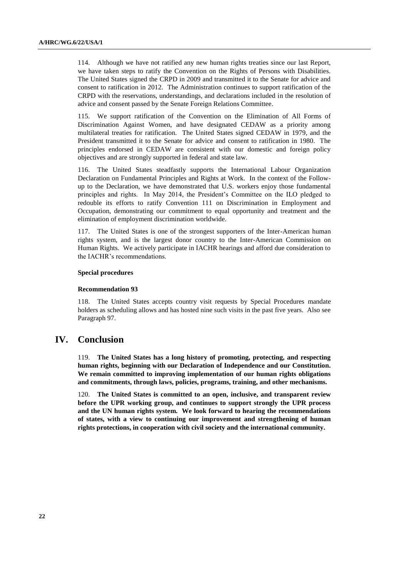114. Although we have not ratified any new human rights treaties since our last Report, we have taken steps to ratify the Convention on the Rights of Persons with Disabilities. The United States signed the CRPD in 2009 and transmitted it to the Senate for advice and consent to ratification in 2012. The Administration continues to support ratification of the CRPD with the reservations, understandings, and declarations included in the resolution of advice and consent passed by the Senate Foreign Relations Committee.

115. We support ratification of the Convention on the Elimination of All Forms of Discrimination Against Women, and have designated CEDAW as a priority among multilateral treaties for ratification. The United States signed CEDAW in 1979, and the President transmitted it to the Senate for advice and consent to ratification in 1980. The principles endorsed in CEDAW are consistent with our domestic and foreign policy objectives and are strongly supported in federal and state law.

116. The United States steadfastly supports the International Labour Organization Declaration on Fundamental Principles and Rights at Work. In the context of the Followup to the Declaration, we have demonstrated that U.S. workers enjoy those fundamental principles and rights. In May 2014, the President's Committee on the ILO pledged to redouble its efforts to ratify Convention 111 on Discrimination in Employment and Occupation, demonstrating our commitment to equal opportunity and treatment and the elimination of employment discrimination worldwide.

117. The United States is one of the strongest supporters of the Inter-American human rights system, and is the largest donor country to the Inter-American Commission on Human Rights. We actively participate in IACHR hearings and afford due consideration to the IACHR's recommendations.

#### **Special procedures**

#### **Recommendation 93**

118. The United States accepts country visit requests by Special Procedures mandate holders as scheduling allows and has hosted nine such visits in the past five years. Also see Paragraph 97.

## **IV. Conclusion**

119. **The United States has a long history of promoting, protecting, and respecting human rights, beginning with our Declaration of Independence and our Constitution. We remain committed to improving implementation of our human rights obligations and commitments, through laws, policies, programs, training, and other mechanisms.**

120. **The United States is committed to an open, inclusive, and transparent review before the UPR working group, and continues to support strongly the UPR process and the UN human rights system. We look forward to hearing the recommendations of states, with a view to continuing our improvement and strengthening of human rights protections, in cooperation with civil society and the international community.**